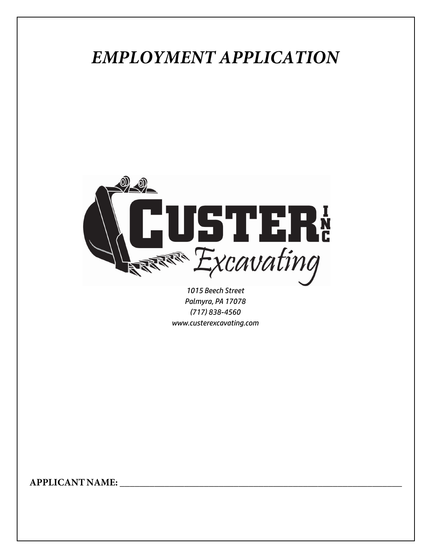## *EMPLOYMENT APPLICATION*



*1015 Beech Street Palmyra, PA 17078 (717) 838-4560 www.custerexcavating.com*

**APPLICANT NAME:** \_\_\_\_\_\_\_\_\_\_\_\_\_\_\_\_\_\_\_\_\_\_\_\_\_\_\_\_\_\_\_\_\_\_\_\_\_\_\_\_\_\_\_\_\_\_\_\_\_\_\_\_\_\_\_\_\_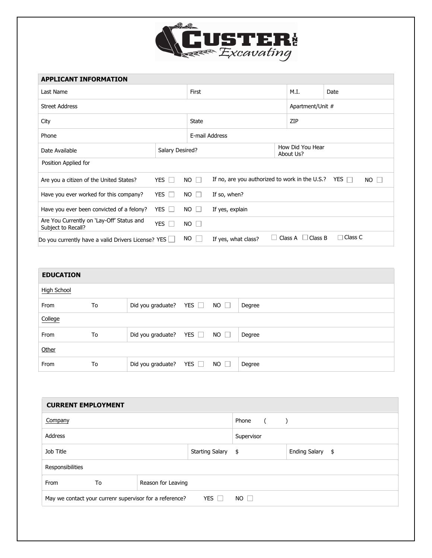

| <b>APPLICANT INFORMATION</b>                                    |            |                           |                                                |  |                               |                         |  |
|-----------------------------------------------------------------|------------|---------------------------|------------------------------------------------|--|-------------------------------|-------------------------|--|
| Last Name                                                       |            |                           | First                                          |  |                               | Date                    |  |
| <b>Street Address</b>                                           |            |                           |                                                |  | Apartment/Unit #              |                         |  |
| City                                                            |            |                           | State                                          |  |                               | ZIP                     |  |
| Phone                                                           |            |                           | E-mail Address                                 |  |                               |                         |  |
| Date Available                                                  |            | Salary Desired?           |                                                |  | How Did You Hear<br>About Us? |                         |  |
| Position Applied for                                            |            |                           |                                                |  |                               |                         |  |
| Are you a citizen of the United States?                         | YES $\Box$ | <b>NO</b><br>$\mathbf{L}$ | If no, are you authorized to work in the U.S.? |  |                               | YES $\Box$<br>$NO \Box$ |  |
| Have you ever worked for this company?                          | YES $\Box$ | $NO$ $\Box$               | If so, when?                                   |  |                               |                         |  |
| Have you ever been convicted of a felony?                       | YES $\Box$ | NO.<br>$\mathbf{I}$       | If yes, explain                                |  |                               |                         |  |
| Are You Currently on 'Lay-Off' Status and<br>Subject to Recall? | YES $\Box$ | $NO$ $\Box$               |                                                |  |                               |                         |  |
| Do you currently have a valid Drivers License? YES $\Box$       |            | NO                        | If yes, what class?                            |  | Class B<br>Class A            | Class C                 |  |

| <b>EDUCATION</b>   |    |                                        |             |        |
|--------------------|----|----------------------------------------|-------------|--------|
| <b>High School</b> |    |                                        |             |        |
| From               | To | Did you graduate? YES $\Box$ NO $\Box$ |             | Degree |
| College            |    |                                        |             |        |
| From               | To | Did you graduate? YES $\Box$ NO $\Box$ |             | Degree |
| Other              |    |                                        |             |        |
| From               | To | Did you graduate? YES $\Box$           | $NO$ $\Box$ | Degree |

| <b>CURRENT EMPLOYMENT</b>                                                          |    |                    |  |                                                                       |  |                  |  |
|------------------------------------------------------------------------------------|----|--------------------|--|-----------------------------------------------------------------------|--|------------------|--|
| Company                                                                            |    |                    |  | Phone<br>$\sqrt{2}$<br>$\left( \begin{array}{cc} \end{array} \right)$ |  |                  |  |
| Address                                                                            |    |                    |  | Supervisor                                                            |  |                  |  |
| Job Title<br>Starting Salary \$                                                    |    |                    |  |                                                                       |  | Ending Salary \$ |  |
| Responsibilities                                                                   |    |                    |  |                                                                       |  |                  |  |
| From                                                                               | To | Reason for Leaving |  |                                                                       |  |                  |  |
| YES $\Box$<br>$NO \Box$<br>May we contact your currenr supervisor for a reference? |    |                    |  |                                                                       |  |                  |  |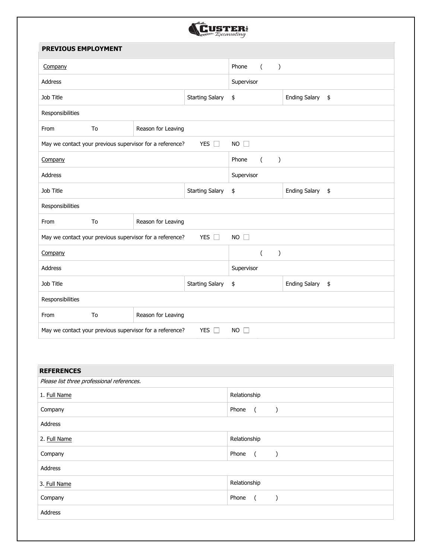

| <b>PREVIOUS EMPLOYMENT</b>                                                                  |                        |                    |    |                                            |                      |               |  |
|---------------------------------------------------------------------------------------------|------------------------|--------------------|----|--------------------------------------------|----------------------|---------------|--|
| Company                                                                                     |                        |                    |    | Phone<br>$\sqrt{2}$<br>$\mathcal{E}$       |                      |               |  |
| <b>Address</b>                                                                              |                        |                    |    | Supervisor                                 |                      |               |  |
| Job Title                                                                                   | <b>Starting Salary</b> |                    |    | \$                                         | <b>Ending Salary</b> | $\frac{4}{5}$ |  |
| Responsibilities                                                                            |                        |                    |    |                                            |                      |               |  |
| From                                                                                        | To                     | Reason for Leaving |    |                                            |                      |               |  |
| May we contact your previous supervisor for a reference?<br>YES $\Box$                      |                        |                    |    | $NO$ $\square$                             |                      |               |  |
| Company                                                                                     |                        |                    |    | Phone<br>$\overline{(\ }$<br>$\mathcal{C}$ |                      |               |  |
| Address                                                                                     |                        |                    |    | Supervisor                                 |                      |               |  |
| Job Title<br><b>Starting Salary</b>                                                         |                        |                    | \$ | <b>Ending Salary</b>                       | \$                   |               |  |
| Responsibilities                                                                            |                        |                    |    |                                            |                      |               |  |
| From                                                                                        | To                     | Reason for Leaving |    |                                            |                      |               |  |
| YES $\square$<br>$NO$ $\square$<br>May we contact your previous supervisor for a reference? |                        |                    |    |                                            |                      |               |  |
| Company                                                                                     |                        |                    |    | $\overline{(\ }$<br>$\mathcal{E}$          |                      |               |  |
| Address                                                                                     |                        |                    |    | Supervisor                                 |                      |               |  |
| Job Title                                                                                   | <b>Starting Salary</b> |                    |    | \$                                         | <b>Ending Salary</b> | $\frac{1}{2}$ |  |
| Responsibilities                                                                            |                        |                    |    |                                            |                      |               |  |
| From                                                                                        | To                     | Reason for Leaving |    |                                            |                      |               |  |
| YES $\Box$<br>$NO$ $\square$<br>May we contact your previous supervisor for a reference?    |                        |                    |    |                                            |                      |               |  |

| <b>REFERENCES</b>                          |                                                     |  |  |  |
|--------------------------------------------|-----------------------------------------------------|--|--|--|
| Please list three professional references. |                                                     |  |  |  |
| 1. Full Name                               | Relationship                                        |  |  |  |
| Company                                    | Phone<br>$\overline{a}$<br>$\overline{\phantom{a}}$ |  |  |  |
| Address                                    |                                                     |  |  |  |
| 2. Full Name                               | Relationship                                        |  |  |  |
| Company                                    | Phone<br>$\overline{a}$<br>$\rightarrow$            |  |  |  |
| Address                                    |                                                     |  |  |  |
| 3. Full Name                               | Relationship                                        |  |  |  |
| Company                                    | Phone<br>$\overline{a}$                             |  |  |  |
| Address                                    |                                                     |  |  |  |
|                                            |                                                     |  |  |  |